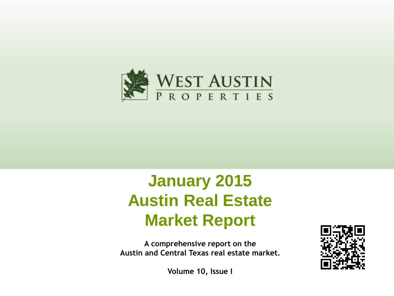

# **January 2015 Austin Real Estate Market Report**

**A comprehensive report on the Austin and Central Texas real estate market.**



**Volume 10, Issue I**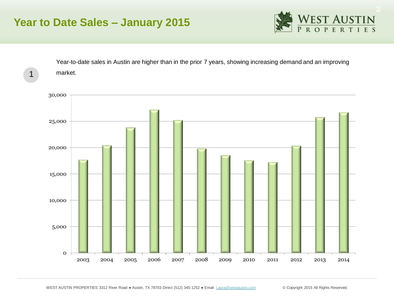# **Year to Date Sales – January 2015**



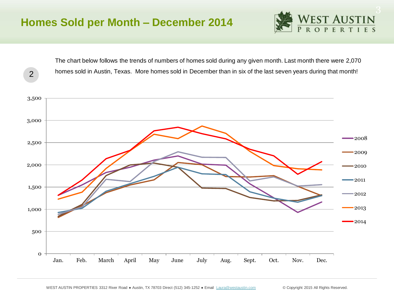2



The chart below follows the trends of numbers of homes sold during any given month. Last month there were 2,070 homes sold in Austin, Texas. More homes sold in December than in six of the last seven years during that month!

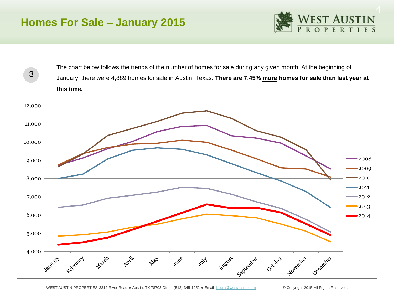## **Homes For Sale – January 2015**

3



The chart below follows the trends of the number of homes for sale during any given month. At the beginning of January, there were 4,889 homes for sale in Austin, Texas. **There are 7.45% more homes for sale than last year at this time.** 

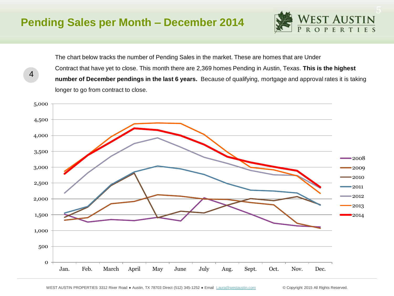4



The chart below tracks the number of Pending Sales in the market. These are homes that are Under Contract that have yet to close. This month there are 2,369 homes Pending in Austin, Texas. **This is the highest number of December pendings in the last 6 years.** Because of qualifying, mortgage and approval rates it is taking longer to go from contract to close.

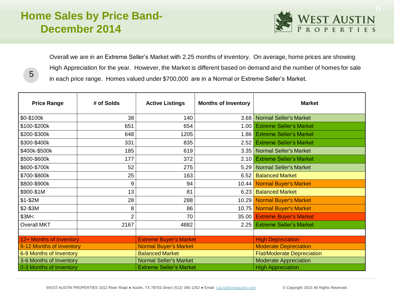# **Home Sales by Price Band-December 2014**

5



Overall we are in an Extreme Seller's Market with 2.25 months of inventory. On average, home prices are showing High Appreciation for the year. However, the Market is different based on demand and the number of homes for sale in each price range. Homes valued under \$700,000 are in a Normal or Extreme Seller's Market.

| <b>Price Range</b>       | # of Solds     | <b>Active Listings</b>         | <b>Months of Inventory</b> | <b>Market</b>                     |  |
|--------------------------|----------------|--------------------------------|----------------------------|-----------------------------------|--|
| \$0-\$100k               | 38             | 140                            |                            | 3.68 Normal Seller's Market       |  |
| \$100-\$200k             | 651            | 654                            | 1.00 <sub>1</sub>          | <b>Extreme Seller's Market</b>    |  |
| \$200-\$300k             | 648            | 1205                           | 1.86                       | <b>Extreme Seller's Market</b>    |  |
| \$300-\$400k             | 331            | 835                            | 2.52                       | <b>Extreme Seller's Market</b>    |  |
| \$400k-\$500k            | 185            | 619                            |                            | 3.35 Normal Seller's Market       |  |
| \$500-\$600k             | 177            | 372                            | 2.10                       | <b>Extreme Seller's Market</b>    |  |
| \$600-\$700k             | 52             | 275                            | 5.29                       | Normal Seller's Market            |  |
| \$700-\$800k             | 25             | 163                            | 6.52                       | <b>Balanced Market</b>            |  |
| \$800-\$900k             | 9              | 94                             | 10.44                      | <b>Normal Buyer's Market</b>      |  |
| \$900-\$1M               | 13             | 81                             | 6.23                       | <b>Balanced Market</b>            |  |
| $$1-$2M$                 | 28             | 288                            |                            | 10.29 Normal Buyer's Market       |  |
| \$2-\$3M                 | 8              | 86                             |                            | 10.75 Normal Buyer's Market       |  |
| \$3M<                    | $\overline{2}$ | 70                             | 35.00                      | <b>Extreme Buyer's Market</b>     |  |
| <b>Overall MKT</b>       | 2167           | 4882                           | 2.25                       | <b>Extreme Seller's Market</b>    |  |
|                          |                |                                |                            |                                   |  |
| 12+ Months of Inventory  |                | <b>Extreme Buyer's Market</b>  |                            | <b>High Depreciation</b>          |  |
| 9-12 Months of Inventory |                | <b>Normal Buyer's Market</b>   |                            | <b>Moderate Depreciation</b>      |  |
| 6-9 Months of Inventory  |                | <b>Balanced Market</b>         |                            | <b>Flat/Moderate Depreciation</b> |  |
| 3-6 Months of Inventory  |                | <b>Normal Seller's Market</b>  |                            | <b>Moderate Appreciation</b>      |  |
| 0-3 Months of Inventory  |                | <b>Extreme Seller's Market</b> |                            | <b>High Appreciation</b>          |  |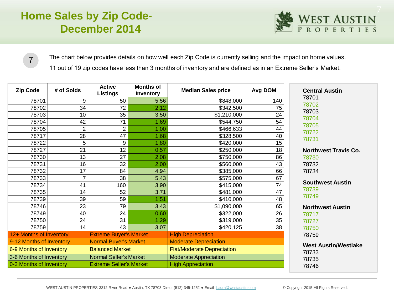# **Home Sales by Zip Code-December 2014**



The chart below provides details on how well each Zip Code is currently selling and the impact on home values.

11 out of 19 zip codes have less than 3 months of inventory and are defined as in an Extreme Seller's Market.

| <b>Zip Code</b>          | # of Solds     | <b>Active</b><br><b>Listings</b> | <b>Months of</b><br><b>Inventory</b> | <b>Median Sales price</b>         | Avg DOM | <b>Central Austin</b>       |
|--------------------------|----------------|----------------------------------|--------------------------------------|-----------------------------------|---------|-----------------------------|
| 78701                    | 9              | 50                               | 5.56                                 | \$848,000                         | 140     | 78701<br>78702              |
| 78702                    | 34             | 72                               | 2.12                                 | \$342,500                         | 75      | 78703                       |
| 78703                    | 10             | 35                               | 3.50                                 | \$1,210,000                       | 24      | 78704                       |
| 78704                    | 42             | 71                               | 1.69                                 | \$544,750                         | 54      | 78705                       |
| 78705                    | $\overline{2}$ | $\overline{2}$                   | 1.00                                 | \$466,633                         | 44      | 78722                       |
| 78717                    | 28             | 47                               | 1.68                                 | \$328,500                         | 40      | 78731                       |
| 78722                    | 5              | 9                                | 1.80                                 | \$420,000                         | 15      |                             |
| 78727                    | 21             | 12                               | 0.57                                 | \$250,000                         | 18      | <b>Northwest Travis Co.</b> |
| 78730                    | 13             | 27                               | 2.08                                 | \$750,000                         | 86      | 78730                       |
| 78731                    | 16             | 32                               | 2.00                                 | \$560,000                         | 43      | 78732                       |
| 78732                    | 17             | 84                               | 4.94                                 | \$385,000                         | 66      | 78734                       |
| 78733                    | $\overline{7}$ | 38                               | 5.43                                 | \$575,000                         | 67      |                             |
| 78734                    | 41             | 160                              | 3.90                                 | \$415,000                         | 74      | <b>Southwest Austin</b>     |
| 78735                    | 14             | 52                               | 3.71                                 | \$481,000                         | 47      | 78739                       |
| 78739                    | 39             | 59                               | 1.51                                 | \$410,000                         | 48      | 78749                       |
| 78746                    | 23             | 79                               | 3.43                                 | \$1,090,000                       | 65      | <b>Northwest Austin</b>     |
| 78749                    | 40             | 24                               | 0.60                                 | \$322,000                         | 26      | 78717                       |
| 78750                    | 24             | 31                               | 1.29                                 | \$319,000                         | 35      | 78727                       |
| 78759                    | 14             | 43                               | 3.07                                 | \$420,125                         | 38      | 78750                       |
| 12+ Months of Inventory  |                | <b>Extreme Buyer's Market</b>    |                                      | <b>High Depreciation</b>          |         | 78759                       |
| 9-12 Months of Inventory |                | <b>Normal Buyer's Market</b>     |                                      | <b>Moderate Depreciation</b>      |         | <b>West Austin/Westlake</b> |
| 6-9 Months of Inventory  |                | <b>Balanced Market</b>           |                                      | <b>Flat/Moderate Depreciation</b> |         | 78733                       |
| 3-6 Months of Inventory  |                | <b>Normal Seller's Market</b>    |                                      | <b>Moderate Appreciation</b>      |         | 78735                       |
| 0-3 Months of Inventory  |                | <b>Extreme Seller's Market</b>   |                                      | <b>High Appreciation</b>          |         | 78746                       |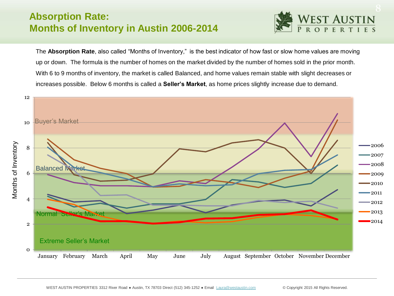#### **Absorption Rate: Months of Inventory in Austin 2006-2014**



The **Absorption Rate**, also called "Months of Inventory," is the best indicator of how fast or slow home values are moving up or down. The formula is the number of homes on the market divided by the number of homes sold in the prior month. With 6 to 9 months of inventory, the market is called Balanced, and home values remain stable with slight decreases or increases possible. Below 6 months is called a **Seller's Market**, as home prices slightly increase due to demand.

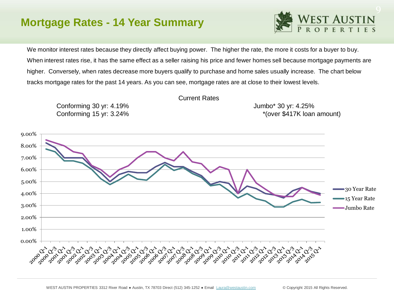# **Mortgage Rates - 14 Year Summary**



We monitor interest rates because they directly affect buying power. The higher the rate, the more it costs for a buyer to buy. When interest rates rise, it has the same effect as a seller raising his price and fewer homes sell because mortgage payments are higher. Conversely, when rates decrease more buyers qualify to purchase and home sales usually increase. The chart below tracks mortgage rates for the past 14 years. As you can see, mortgage rates are at close to their lowest levels.



Current Rates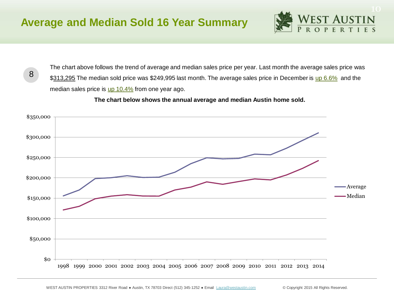8



The chart above follows the trend of average and median sales price per year. Last month the average sales price was \$313,295 The median sold price was \$249,995 last month. The average sales price in December is up 6.6% and the median sales price is  $up$  10.4% from one year ago.

 **The chart below shows the annual average and median Austin home sold.** 

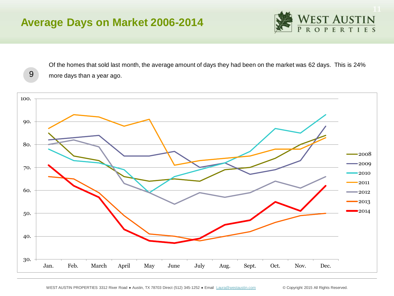# **Average Days on Market 2006-2014**

9



Of the homes that sold last month, the average amount of days they had been on the market was 62 days. This is 24% more days than a year ago.